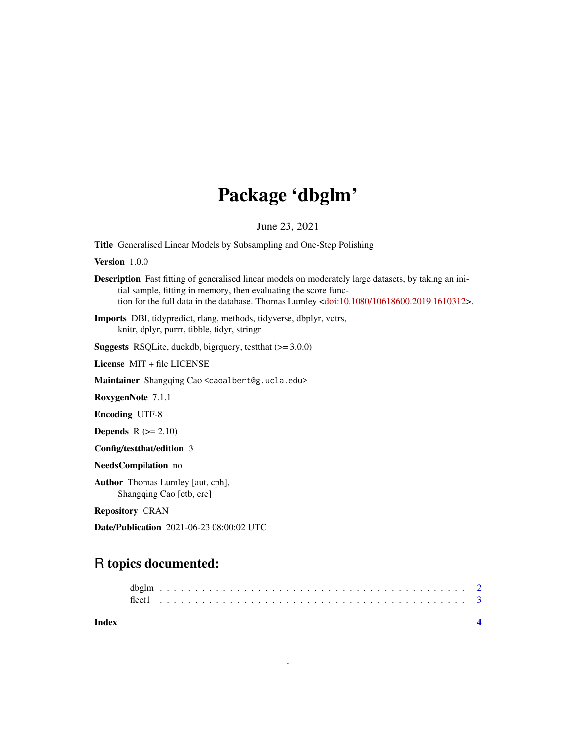## Package 'dbglm'

June 23, 2021

Title Generalised Linear Models by Subsampling and One-Step Polishing

Version 1.0.0

Description Fast fitting of generalised linear models on moderately large datasets, by taking an initial sample, fitting in memory, then evaluating the score function for the full data in the database. Thomas Lumley [<doi:10.1080/10618600.2019.1610312>](https://doi.org/10.1080/10618600.2019.1610312).

Imports DBI, tidypredict, rlang, methods, tidyverse, dbplyr, vctrs, knitr, dplyr, purrr, tibble, tidyr, stringr

Suggests RSQLite, duckdb, bigrquery, testthat (>= 3.0.0)

License MIT + file LICENSE

Maintainer Shangqing Cao <caoalbert@g.ucla.edu>

RoxygenNote 7.1.1

Encoding UTF-8

**Depends**  $R (= 2.10)$ 

Config/testthat/edition 3

NeedsCompilation no

Author Thomas Lumley [aut, cph], Shangqing Cao [ctb, cre]

Repository CRAN

Date/Publication 2021-06-23 08:00:02 UTC

### R topics documented:

| Index |  |  |  |  |  |  |  |  |  |  |  |  |  |  |  |  |  |  |  |  |  |  |  |  |
|-------|--|--|--|--|--|--|--|--|--|--|--|--|--|--|--|--|--|--|--|--|--|--|--|--|
|       |  |  |  |  |  |  |  |  |  |  |  |  |  |  |  |  |  |  |  |  |  |  |  |  |
|       |  |  |  |  |  |  |  |  |  |  |  |  |  |  |  |  |  |  |  |  |  |  |  |  |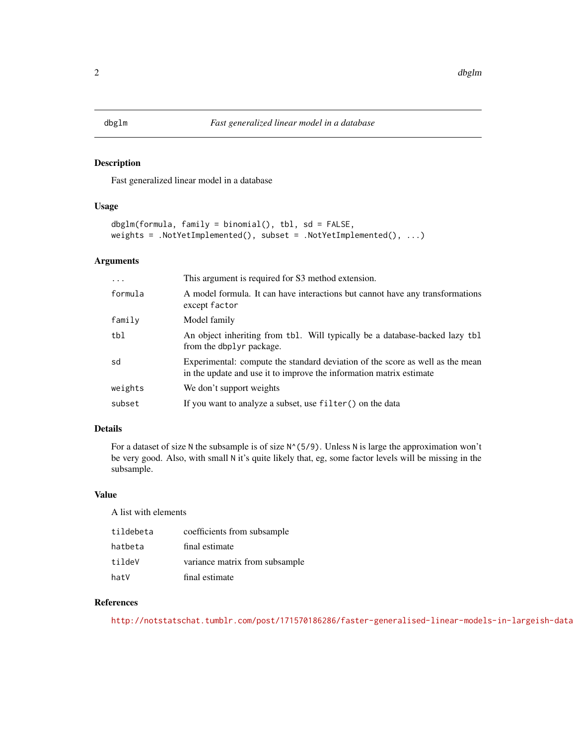#### <span id="page-1-0"></span>Description

Fast generalized linear model in a database

#### Usage

```
dbglm(formula, family = binomial(), tbl, sd = FALSE,
weights = .NotYetImplemented(), subset = .NotYetImplemented(), ...)
```
#### Arguments

| $\ddotsc$ | This argument is required for S3 method extension.                                                                                                   |
|-----------|------------------------------------------------------------------------------------------------------------------------------------------------------|
| formula   | A model formula. It can have interactions but cannot have any transformations<br>except factor                                                       |
| family    | Model family                                                                                                                                         |
| tbl       | An object inheriting from tbl. Will typically be a database-backed lazy tbl.<br>from the dbplyr package.                                             |
| sd        | Experimental: compute the standard deviation of the score as well as the mean<br>in the update and use it to improve the information matrix estimate |
| weights   | We don't support weights                                                                                                                             |
| subset    | If you want to analyze a subset, use filter() on the data                                                                                            |

#### Details

For a dataset of size N the subsample is of size  $N^{\wedge}(5/9)$ . Unless N is large the approximation won't be very good. Also, with small N it's quite likely that, eg, some factor levels will be missing in the subsample.

#### Value

A list with elements

| tildebeta | coefficients from subsample    |
|-----------|--------------------------------|
| hatbeta   | final estimate                 |
| tildeV    | variance matrix from subsample |
| hatV      | final estimate                 |

#### References

<http://notstatschat.tumblr.com/post/171570186286/faster-generalised-linear-models-in-largeish-data>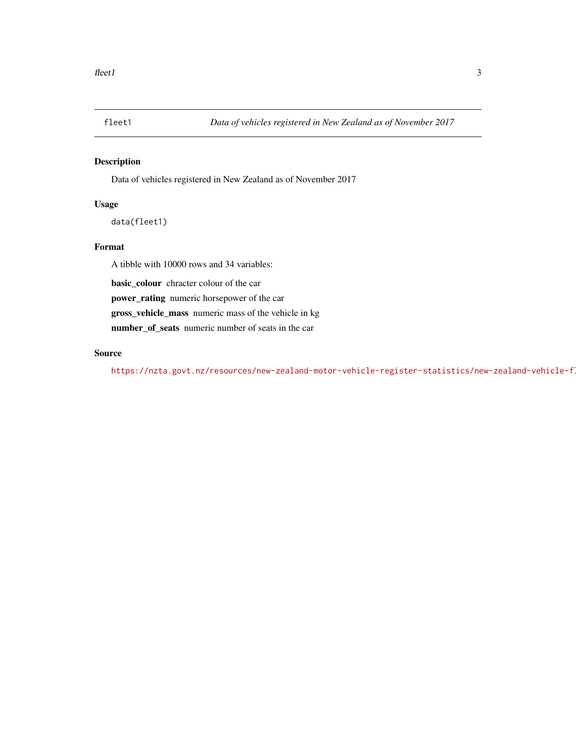<span id="page-2-0"></span>

#### Description

Data of vehicles registered in New Zealand as of November 2017

#### Usage

```
data(fleet1)
```
#### Format

A tibble with 10000 rows and 34 variables:

basic\_colour chracter colour of the car

power\_rating numeric horsepower of the car

gross\_vehicle\_mass numeric mass of the vehicle in kg

number\_of\_seats numeric number of seats in the car

#### Source

https://nzta.govt.nz/resources/new-zealand-motor-vehicle-register-statistics/new-zealand-vehicle-f